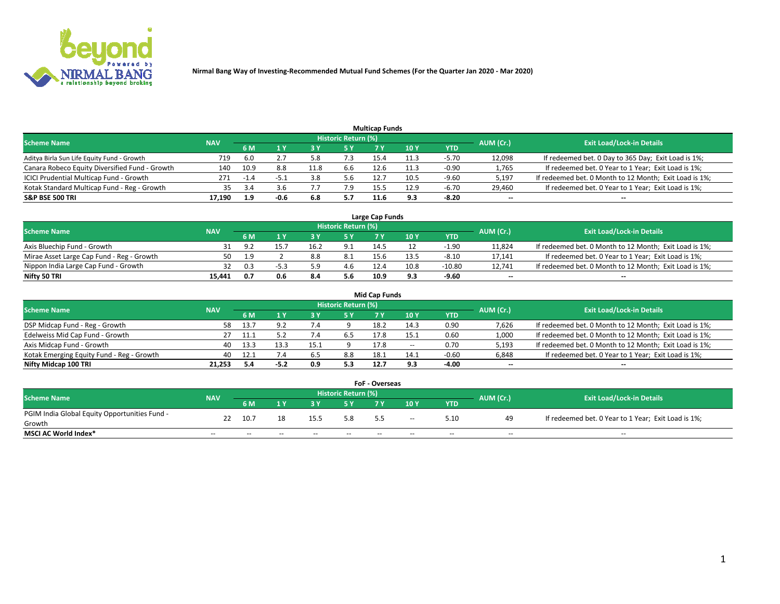

| <b>Multicap Funds</b>                          |            |        |      |      |                     |      |      |         |                          |                                                        |  |  |  |  |
|------------------------------------------------|------------|--------|------|------|---------------------|------|------|---------|--------------------------|--------------------------------------------------------|--|--|--|--|
| Scheme Name                                    | <b>NAV</b> |        |      |      | Historic Return (%) |      |      |         | AUM (Cr.)                | <b>Exit Load/Lock-in Details</b>                       |  |  |  |  |
|                                                |            | 6 M    |      |      | 5 Y                 |      | 10 ۱ | YTD     |                          |                                                        |  |  |  |  |
| Aditya Birla Sun Life Equity Fund - Growth     | 719        | 6.0    |      |      |                     | 15.4 | 11.3 | $-5.70$ | 12,098                   | If redeemed bet. 0 Day to 365 Day; Exit Load is 1%;    |  |  |  |  |
| Canara Robeco Equity Diversified Fund - Growth | 140        | 10.9   | 8.8  | 11.8 | 6.6                 | 12.6 | 11.3 | $-0.90$ | 1,765                    | If redeemed bet. 0 Year to 1 Year; Exit Load is 1%;    |  |  |  |  |
| ICICI Prudential Multicap Fund - Growth        | 271        | $-1.4$ | -5.1 | 3.8  | 5.6                 | 12.  | 10.5 | $-9.60$ | 5,197                    | If redeemed bet. 0 Month to 12 Month; Exit Load is 1%; |  |  |  |  |
| Kotak Standard Multicap Fund - Reg - Growth    | 35         |        | 3.b  |      |                     | 15.5 | 12.9 | $-6.70$ | 29,460                   | If redeemed bet. 0 Year to 1 Year; Exit Load is 1%;    |  |  |  |  |
| <b>S&amp;P BSE 500 TRI</b>                     | 17.190     | 1.9    | -0.6 | 6.8  | 5.7                 | 11.6 | 9.3  | $-8.20$ | $\overline{\phantom{a}}$ | $- -$                                                  |  |  |  |  |

| Large Cap Funds                           |            |            |                                  |     |     |      |      |         |        |                                                        |  |  |  |  |
|-------------------------------------------|------------|------------|----------------------------------|-----|-----|------|------|---------|--------|--------------------------------------------------------|--|--|--|--|
| Scheme Name                               | <b>NAV</b> | AUM (Cr.)  | <b>Exit Load/Lock-in Details</b> |     |     |      |      |         |        |                                                        |  |  |  |  |
|                                           |            | <b>6 M</b> |                                  |     | 5 Y |      | 10Y  | YTD     |        |                                                        |  |  |  |  |
| Axis Bluechip Fund - Growth               |            |            |                                  |     | 9.1 | 14.5 |      | $-1.90$ | 11,824 | If redeemed bet. 0 Month to 12 Month; Exit Load is 1%; |  |  |  |  |
| Mirae Asset Large Cap Fund - Reg - Growth | 50         | - q        |                                  | ð.ö | 8.1 | 15.6 | 13.5 | $-8.10$ | 17,141 | If redeemed bet. 0 Year to 1 Year; Exit Load is 1%;    |  |  |  |  |
| Nippon India Large Cap Fund - Growth      |            |            |                                  |     | 4.6 | 12.4 | 10.8 | -10.80  | 12,741 | If redeemed bet. 0 Month to 12 Month; Exit Load is 1%; |  |  |  |  |
| Nifty 50 TRI                              | 15.441     | 0.7        | U.6                              | 8.4 | 5.6 | 10.9 | 9.3  | $-9.60$ | $\sim$ | $-$                                                    |  |  |  |  |

| <b>Mid Cap Funds</b>                      |            |       |      |      |                     |      |       |            |           |                                                        |  |  |  |
|-------------------------------------------|------------|-------|------|------|---------------------|------|-------|------------|-----------|--------------------------------------------------------|--|--|--|
| <b>Scheme Name</b>                        | <b>NAV</b> |       |      |      | Historic Return (%) |      |       |            | AUM (Cr.) | <b>Exit Load/Lock-in Details</b>                       |  |  |  |
|                                           |            | 6 M   |      |      | 5 Y                 |      | 10 Y  | <b>YTD</b> |           |                                                        |  |  |  |
| DSP Midcap Fund - Reg - Growth            | 58.        | -13.7 |      |      |                     | 18.2 | 14.3  | 0.90       | 7,626     | If redeemed bet. 0 Month to 12 Month; Exit Load is 1%; |  |  |  |
| Edelweiss Mid Cap Fund - Growth           |            |       |      | 7.4  | 6.5                 | 17.8 | 15.1  | 0.60       | 1,000     | If redeemed bet. 0 Month to 12 Month; Exit Load is 1%; |  |  |  |
| Axis Midcap Fund - Growth                 | 40         | 13.3  | 13.3 | 15.1 |                     | 17.8 | $- -$ | 0.70       | 5,193     | If redeemed bet. 0 Month to 12 Month; Exit Load is 1%; |  |  |  |
| Kotak Emerging Equity Fund - Reg - Growth | 40         | 12.1  |      | 6.5  | 8.8                 | 18.1 | 14.1  | $-0.60$    | 6,848     | If redeemed bet. 0 Year to 1 Year; Exit Load is 1%;    |  |  |  |
| Nifty Midcap 100 TRI                      | 21.253     |       | -5.2 | 0.9  | 5.3                 | 12.7 | 9.3   | $-4.00$    | $- -$     | $\sim$                                                 |  |  |  |

| <b>FoF - Overseas</b>                         |            |       |       |       |                            |       |       |            |           |                                                     |  |  |  |  |
|-----------------------------------------------|------------|-------|-------|-------|----------------------------|-------|-------|------------|-----------|-----------------------------------------------------|--|--|--|--|
| <b>Scheme Name</b>                            | <b>NAV</b> |       |       |       | <b>Historic Return (%)</b> |       |       |            | AUM (Cr.) | <b>Exit Load/Lock-in Details</b>                    |  |  |  |  |
|                                               |            | 6 M   |       |       |                            |       | 10Y   | <b>YTD</b> |           |                                                     |  |  |  |  |
| PGIM India Global Equity Opportunities Fund - |            | 10.7  |       | 15.5  | 5.8                        | 5.5   |       | 5.10       |           | If redeemed bet. 0 Year to 1 Year; Exit Load is 1%; |  |  |  |  |
| Growth                                        |            |       |       |       |                            |       | $- -$ |            |           |                                                     |  |  |  |  |
| <b>MSCI AC World Index*</b>                   | $- -$      | $- -$ | $- -$ | $- -$ | $- -$                      | $- -$ | $- -$ | --         | $- -$     | $- -$                                               |  |  |  |  |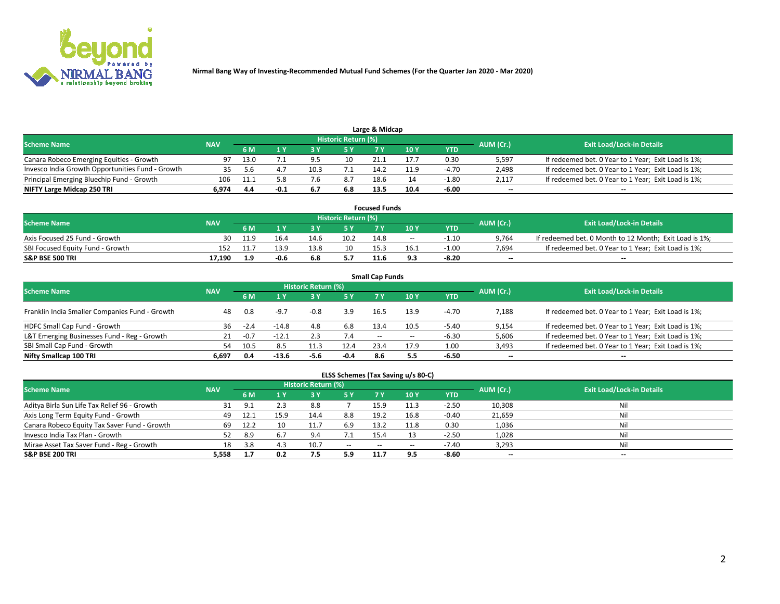

| Large & Midcap<br>Historic Return (%)            |            |      |        |      |     |      |      |         |           |                                                     |  |  |  |  |
|--------------------------------------------------|------------|------|--------|------|-----|------|------|---------|-----------|-----------------------------------------------------|--|--|--|--|
| <b>Scheme Name</b>                               | <b>NAV</b> | 6 M  |        |      |     |      | 10 Y | YTD     | AUM (Cr.) | <b>Exit Load/Lock-in Details</b>                    |  |  |  |  |
| Canara Robeco Emerging Equities - Growth         | 97         | 13.0 |        | 9.5  | 10  | 21.1 | 17.7 | 0.30    | 5,597     | If redeemed bet. 0 Year to 1 Year; Exit Load is 1%; |  |  |  |  |
| Invesco India Growth Opportunities Fund - Growth |            |      |        | 10.3 |     | 14.2 | 11.9 | $-4.70$ | 2,498     | If redeemed bet. 0 Year to 1 Year; Exit Load is 1%; |  |  |  |  |
| Principal Emerging Bluechip Fund - Growth        | 106        | 11.1 | 5.8    |      |     | 18.6 |      | $-1.80$ | 2.117     | If redeemed bet. 0 Year to 1 Year; Exit Load is 1%; |  |  |  |  |
| NIFTY Large Midcap 250 TRI                       | 6.974      | 4.4  | $-0.1$ |      | 6.8 | 13.5 | 10.4 | -6.00   | $\sim$    | $- -$                                               |  |  |  |  |

| <b>Focused Funds</b>             |            |      |      |      |                     |      |       |         |           |                                                        |  |  |  |
|----------------------------------|------------|------|------|------|---------------------|------|-------|---------|-----------|--------------------------------------------------------|--|--|--|
| <b>Scheme Name</b>               | <b>NAV</b> |      |      |      | Historic Return (%) |      |       |         |           | <b>Exit Load/Lock-in Details</b>                       |  |  |  |
|                                  |            | 6 M  |      |      |                     |      | 10 Y  | YTD     | AUM (Cr.) |                                                        |  |  |  |
| Axis Focused 25 Fund - Growth    | 30         | 11.9 | 16.4 | 14.6 | 10.2                | 14.8 | $- -$ | -1.10   | 9,764     | If redeemed bet. 0 Month to 12 Month; Exit Load is 1%; |  |  |  |
| SBI Focused Equity Fund - Growth |            |      | 13.9 | 13.8 | 10                  | 15.3 | 16.1  | $-1.00$ | 7.694     | If redeemed bet. 0 Year to 1 Year; Exit Load is 1%;    |  |  |  |
| <b>S&amp;P BSE 500 TRI</b>       | 17.190     |      | -0.6 | 6.8  | 5.7                 | 11.6 |       | $-8.20$ | $\sim$    | $- -$                                                  |  |  |  |

| <b>Small Cap Funds</b>                         |            |        |         |                     |        |      |       |         |                          |                                                     |  |  |  |  |
|------------------------------------------------|------------|--------|---------|---------------------|--------|------|-------|---------|--------------------------|-----------------------------------------------------|--|--|--|--|
| <b>Scheme Name</b>                             | <b>NAV</b> |        |         | Historic Return (%) |        |      |       |         | AUM (Cr.)                | <b>Exit Load/Lock-in Details</b>                    |  |  |  |  |
|                                                |            | 6 M    |         | 3Y                  | 5 Y    | 7 Y  | 10Y   | YTD     |                          |                                                     |  |  |  |  |
| Franklin India Smaller Companies Fund - Growth | 48         | 0.8    | $-9.7$  | $-0.8$              | 3.9    | 16.5 | 13.9  | $-4.70$ | 7,188                    | If redeemed bet. 0 Year to 1 Year; Exit Load is 1%; |  |  |  |  |
| HDFC Small Cap Fund - Growth                   | 36         | $-2.4$ | $-14.8$ | 4.8                 | 6.8    | 13.4 | 10.5  | $-5.40$ | 9,154                    | If redeemed bet. 0 Year to 1 Year; Exit Load is 1%; |  |  |  |  |
| L&T Emerging Businesses Fund - Reg - Growth    | 21         | $-0.7$ | $-12.1$ |                     | 7.4    | $-$  | $- -$ | $-6.30$ | 5,606                    | If redeemed bet. 0 Year to 1 Year; Exit Load is 1%; |  |  |  |  |
| SBI Small Cap Fund - Growth                    | 54         | 10.5   | 8.5     |                     | 12.4   | 23.4 | 17.9  | 1.00    | 3,493                    | If redeemed bet. 0 Year to 1 Year; Exit Load is 1%; |  |  |  |  |
| Nifty Smallcap 100 TRI                         | 6.697      | 0.4    | $-13.6$ | -5.6                | $-0.4$ | 8.6  | 5.5   | $-6.50$ | $\overline{\phantom{a}}$ | $- -$                                               |  |  |  |  |

## **ELSS Schemes (Tax Saving u/s 80-C)**

| <b>Scheme Name</b>                           | <b>NAV</b> |      |      | <b>Historic Return (%)</b> |           |       |      |         | AUM (Cr.) | <b>Exit Load/Lock-in Details</b> |
|----------------------------------------------|------------|------|------|----------------------------|-----------|-------|------|---------|-----------|----------------------------------|
|                                              |            | 6 M  | 1 Y  |                            | <b>5Y</b> | 7 Y   | 10Y  | YTD     |           |                                  |
| Aditya Birla Sun Life Tax Relief 96 - Growth | 31         | 9.1  |      | 8.8                        |           | 15.9  |      | $-2.50$ | 10,308    | Nil                              |
| Axis Long Term Equity Fund - Growth          | 49         | 12.1 | 15.9 | 14.4                       | 8.8       | 19.2  | 16.8 | $-0.40$ | 21,659    | Nil                              |
| Canara Robeco Equity Tax Saver Fund - Growth | 69         | 12.2 |      |                            | 6.9       | 13.2  | 11.8 | 0.30    | 1,036     | Nil                              |
| Invesco India Tax Plan - Growth              | 52         | 8.9  |      | 9.4                        | 7.1       | 15.4  |      | $-2.50$ | 1,028     | Nil                              |
| Mirae Asset Tax Saver Fund - Reg - Growth    | 18         | 3.8  |      | 10.                        | $- -$     | $- -$ |      | $-7.40$ | 3,293     | Nil                              |
| S&P BSE 200 TRI                              | 5,558      |      | 0.2  |                            | 5.9       | 11.7  |      | $-8.60$ | $-$       | $- -$                            |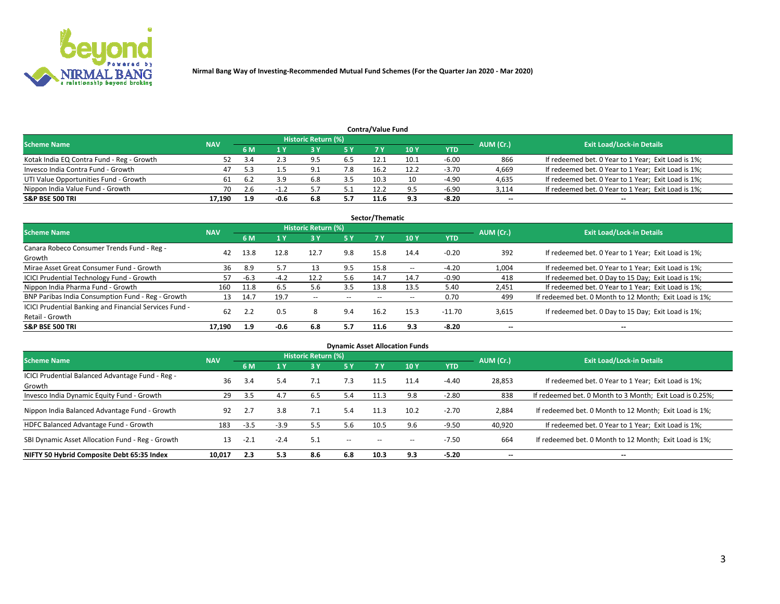

| <b>Contra/Value Fund</b><br>Historic Return (%) |            |       |      |     |     |      |      |         |           |                                                     |  |  |  |
|-------------------------------------------------|------------|-------|------|-----|-----|------|------|---------|-----------|-----------------------------------------------------|--|--|--|
| <b>Scheme Name</b>                              | <b>NAV</b> | 6 M   |      |     | 5 Y | 7 Y  | 10Y  | YTD     | AUM (Cr.) | <b>Exit Load/Lock-in Details</b>                    |  |  |  |
| Kotak India EQ Contra Fund - Reg - Growth       |            |       |      | 9.5 | 6.5 | 12.1 | 10.1 | $-6.00$ | 866       | If redeemed bet. 0 Year to 1 Year; Exit Load is 1%; |  |  |  |
| Invesco India Contra Fund - Growth              | 47         |       |      | ۵.  | 7.8 | 16.2 | 12.2 | $-3.70$ | 4,669     | If redeemed bet. 0 Year to 1 Year; Exit Load is 1%; |  |  |  |
| UTI Value Opportunities Fund - Growth           | 61         | - 6.2 | 3.9  | 6.8 |     | 10.3 |      | $-4.90$ | 4,635     | If redeemed bet. 0 Year to 1 Year; Exit Load is 1%; |  |  |  |
| Nippon India Value Fund - Growth                | 70         |       |      |     |     | 12.2 | ۹F,  | $-6.90$ | 3,114     | If redeemed bet. 0 Year to 1 Year; Exit Load is 1%; |  |  |  |
| <b>S&amp;P BSE 500 TRI</b>                      | 17.190     | 1.9   | -0.6 | 6.8 | 5.7 | 11.6 | 9.3  | $-8.20$ | $\sim$    | $- -$                                               |  |  |  |

|                                                                           |            |      |        |                          |       | Sector/Thematic |               |            |                          |                                                        |
|---------------------------------------------------------------------------|------------|------|--------|--------------------------|-------|-----------------|---------------|------------|--------------------------|--------------------------------------------------------|
| <b>Scheme Name</b>                                                        | <b>NAV</b> |      |        | Historic Return (%)      |       |                 |               |            | AUM (Cr.)                | <b>Exit Load/Lock-in Details</b>                       |
|                                                                           |            | 6 M  | 1 Y    | 73 Y                     | 15 Y  | 7 Y             | 10Y           | <b>YTD</b> |                          |                                                        |
| Canara Robeco Consumer Trends Fund - Reg -<br>Growth                      | 42         | 13.8 | 12.8   | 12.7                     | 9.8   | 15.8            | 14.4          | $-0.20$    | 392                      | If redeemed bet. 0 Year to 1 Year; Exit Load is 1%;    |
| Mirae Asset Great Consumer Fund - Growth                                  | 36         | 8.9  | 5.7    |                          | 9.5   | 15.8            | $\sim$ $\sim$ | $-4.20$    | 1,004                    | If redeemed bet. 0 Year to 1 Year; Exit Load is 1%;    |
| ICICI Prudential Technology Fund - Growth                                 | 57         | -6.3 | $-4.2$ | 12.2                     | 5.6   | 14.7            | 14.7          | $-0.90$    | 418                      | If redeemed bet. 0 Day to 15 Day; Exit Load is 1%;     |
| Nippon India Pharma Fund - Growth                                         | 160        | 11.8 | 6.5    | 5.6                      | 3.5   | 13.8            | 13.5          | 5.40       | 2,451                    | If redeemed bet. 0 Year to 1 Year; Exit Load is 1%;    |
| BNP Paribas India Consumption Fund - Reg - Growth                         | 13         | 14.7 | 19.7   | $\overline{\phantom{a}}$ | $- -$ | $- -$           | $- -$         | 0.70       | 499                      | If redeemed bet. 0 Month to 12 Month; Exit Load is 1%; |
| ICICI Prudential Banking and Financial Services Fund -<br>Retail - Growth | 62         |      | 0.5    | 8                        | 9.4   | 16.2            | 15.3          | $-11.70$   | 3,615                    | If redeemed bet. 0 Day to 15 Day; Exit Load is 1%;     |
| <b>S&amp;P BSE 500 TRI</b>                                                | 17.190     | 1.9  | -0.6   | 6.8                      | 5.7   | 11.6            | 9.3           | $-8.20$    | $\overline{\phantom{a}}$ | $- -$                                                  |

| <b>Dynamic Asset Allocation Funds</b>                      |            |        |        |                     |               |       |                          |            |                          |                                                          |  |  |  |
|------------------------------------------------------------|------------|--------|--------|---------------------|---------------|-------|--------------------------|------------|--------------------------|----------------------------------------------------------|--|--|--|
| <b>Scheme Name</b>                                         | <b>NAV</b> |        |        | Historic Return (%) |               |       |                          |            | AUM (Cr.)                | <b>Exit Load/Lock-in Details</b>                         |  |  |  |
|                                                            |            | 6 M    |        | 3 Y                 | 5 Y           |       | 10 <sub>Y</sub>          | <b>YTD</b> |                          |                                                          |  |  |  |
| ICICI Prudential Balanced Advantage Fund - Reg -<br>Growth | 36         | 3.4    | 5.4    | 7.1                 | 7.3           | 11.5  | 11.4                     | $-4.40$    | 28,853                   | If redeemed bet. 0 Year to 1 Year; Exit Load is 1%;      |  |  |  |
| Invesco India Dynamic Equity Fund - Growth                 | 29         | 3.5    | 4.7    | 6.5                 | 5.4           | 11.3  | 9.8                      | $-2.80$    | 838                      | If redeemed bet. 0 Month to 3 Month; Exit Load is 0.25%; |  |  |  |
| Nippon India Balanced Advantage Fund - Growth              | 92         | 2.7    | 3.8    | 7.1                 | 5.4           | 11.3  | 10.2                     | $-2.70$    | 2,884                    | If redeemed bet. 0 Month to 12 Month; Exit Load is 1%;   |  |  |  |
| HDFC Balanced Advantage Fund - Growth                      | 183        | $-3.5$ | $-3.9$ | 5.5                 | 5.6           | 10.5  | 9.6                      | $-9.50$    | 40,920                   | If redeemed bet. 0 Year to 1 Year; Exit Load is 1%;      |  |  |  |
| SBI Dynamic Asset Allocation Fund - Reg - Growth           | 13         | $-2.1$ | $-2.4$ | 5.1                 | $\sim$ $\sim$ | $- -$ | $\overline{\phantom{m}}$ | $-7.50$    | 664                      | If redeemed bet. 0 Month to 12 Month; Exit Load is 1%;   |  |  |  |
| NIFTY 50 Hybrid Composite Debt 65:35 Index                 | 10,017     | 2.3    | 5.3    | 8.6                 | 6.8           | 10.3  | 9.3                      | $-5.20$    | $\overline{\phantom{a}}$ | --                                                       |  |  |  |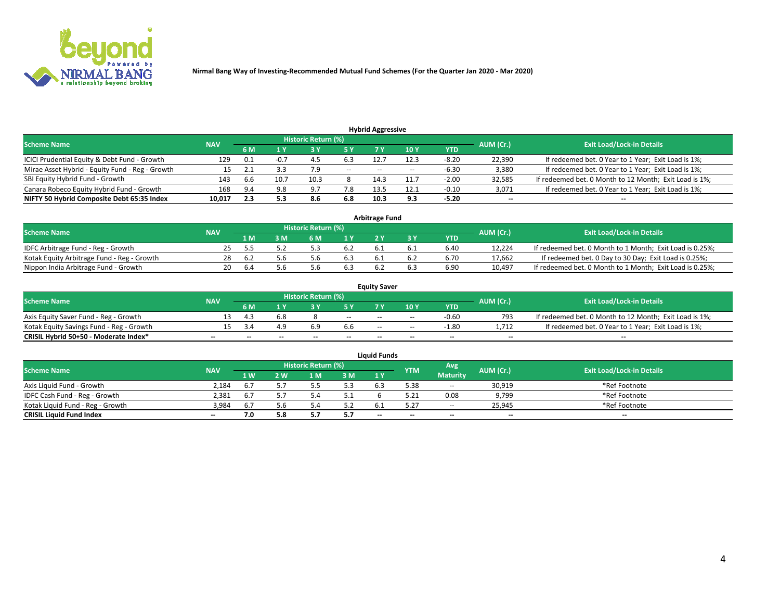

| <b>Hybrid Aggressive</b>                        |            |     |        |                            |        |                          |       |         |                          |                                                        |  |  |  |  |
|-------------------------------------------------|------------|-----|--------|----------------------------|--------|--------------------------|-------|---------|--------------------------|--------------------------------------------------------|--|--|--|--|
| <b>Scheme Name</b>                              | <b>NAV</b> |     |        | <b>Historic Return (%)</b> |        |                          |       |         | AUM (Cr.)                | <b>Exit Load/Lock-in Details</b>                       |  |  |  |  |
|                                                 |            | 6 M |        |                            | 5 Y    |                          | 10 Y  | YTD     |                          |                                                        |  |  |  |  |
| ICICI Prudential Equity & Debt Fund - Growth    | 129        | 0.1 | $-0.7$ |                            | 6.3    | 12.7                     | 12.3  | $-8.20$ | 22,390                   | If redeemed bet. 0 Year to 1 Year; Exit Load is 1%;    |  |  |  |  |
| Mirae Asset Hybrid - Equity Fund - Reg - Growth |            |     |        |                            | $\sim$ | $\overline{\phantom{a}}$ | $- -$ | -6.30   | 3,380                    | If redeemed bet. 0 Year to 1 Year; Exit Load is 1%;    |  |  |  |  |
| SBI Equity Hybrid Fund - Growth                 | 143        | b.b | 10.7   | 10.3                       |        | 14.3                     | 11.7  | $-2.00$ | 32,585                   | If redeemed bet. 0 Month to 12 Month; Exit Load is 1%; |  |  |  |  |
| Canara Robeco Equity Hybrid Fund - Growth       | 168        | 9.4 | 9.8    | 9.7                        | 7.8    | 13.5                     | 12.1  | $-0.10$ | 3,071                    | If redeemed bet. 0 Year to 1 Year; Exit Load is 1%;    |  |  |  |  |
| NIFTY 50 Hybrid Composite Debt 65:35 Index      | 10,017     | 2.3 | 5.3    | 8.6                        | 6.8    | 10.3                     | 9.3   | $-5.20$ | $\overline{\phantom{a}}$ | $- -$                                                  |  |  |  |  |

|                                            |            |           |                                  |                | Arbitrage Fund |     |            |        |                                                          |
|--------------------------------------------|------------|-----------|----------------------------------|----------------|----------------|-----|------------|--------|----------------------------------------------------------|
| <b>Scheme Name</b>                         | <b>NAV</b> | AUM (Cr.) | <b>Exit Load/Lock-in Details</b> |                |                |     |            |        |                                                          |
|                                            |            | l M       | <b>M</b>                         | 1 <sub>V</sub> |                |     | <b>YTD</b> |        |                                                          |
| IDFC Arbitrage Fund - Reg - Growth         |            |           |                                  | 6.2            |                |     | 6.40       | 12,224 | If redeemed bet. 0 Month to 1 Month; Exit Load is 0.25%; |
| Kotak Equity Arbitrage Fund - Reg - Growth | 28         | b.Z       | 5.b                              | b.3            |                | b.4 | 6.70       | 17,662 | If redeemed bet. 0 Day to 30 Day; Exit Load is 0.25%;    |
| Nippon India Arbitrage Fund - Growth       | 20         | . ხ.⁄     | 5.b                              |                |                |     | 6.90       | 10.497 | If redeemed bet. 0 Month to 1 Month; Exit Load is 0.25%; |

|                                          |            |           |                                  |                          |                          | <b>Equity Saver</b> |        |            |                          |                                                        |
|------------------------------------------|------------|-----------|----------------------------------|--------------------------|--------------------------|---------------------|--------|------------|--------------------------|--------------------------------------------------------|
| Scheme Name                              | <b>NAV</b> | AUM (Cr.) | <b>Exit Load/Lock-in Details</b> |                          |                          |                     |        |            |                          |                                                        |
|                                          |            | 6 M       |                                  |                          |                          |                     | 10 Y   | <b>YTD</b> |                          |                                                        |
| Axis Equity Saver Fund - Reg - Growth    |            |           |                                  |                          | $\sim$                   | $- -$               | $\sim$ | $-0.60$    | 793                      | If redeemed bet. 0 Month to 12 Month; Exit Load is 1%; |
| Kotak Equity Savings Fund - Reg - Growth |            |           |                                  | 6.9                      | 6.6                      | $\sim$ $\sim$       | $\sim$ | $-1.80$    | 1.712                    | If redeemed bet. 0 Year to 1 Year; Exit Load is 1%;    |
| CRISIL Hybrid 50+50 - Moderate Index*    |            | $-$       | $- -$                            | $\overline{\phantom{a}}$ | $\overline{\phantom{a}}$ | $\sim$              | $\sim$ | $\sim$     | $\overline{\phantom{a}}$ | $-$                                                    |

| <b>Liquid Funds</b>              |            |                   |     |                            |     |        |            |                 |           |                                  |  |  |  |
|----------------------------------|------------|-------------------|-----|----------------------------|-----|--------|------------|-----------------|-----------|----------------------------------|--|--|--|
| <b>Scheme Name</b>               | <b>NAV</b> |                   |     | <b>Historic Return (%)</b> |     |        | <b>YTM</b> | Avg             | AUM (Cr.) | <b>Exit Load/Lock-in Details</b> |  |  |  |
|                                  |            | $4 \, \mathrm{W}$ | 2 W | l M                        | 3M  | 1Y     |            | <b>Maturity</b> |           |                                  |  |  |  |
| Axis Liquid Fund - Growth        | 2.184      |                   |     |                            | 5.3 | 6.3    | 5.38       | $\sim$ $\sim$   | 30,919    | *Ref Footnote                    |  |  |  |
| IDFC Cash Fund - Reg - Growth    | 2.381      | 6.7               |     |                            |     |        |            | 0.08            | 9,799     | *Ref Footnote                    |  |  |  |
| Kotak Liquid Fund - Reg - Growth | 3,984      |                   |     |                            | 5.2 |        |            | $- -$           | 25,945    | *Ref Footnote                    |  |  |  |
| <b>CRISIL Liquid Fund Index</b>  | $\sim$     |                   |     |                            | 5.7 | $\sim$ | $-$        | $-$             | $\sim$    | $\overline{\phantom{a}}$         |  |  |  |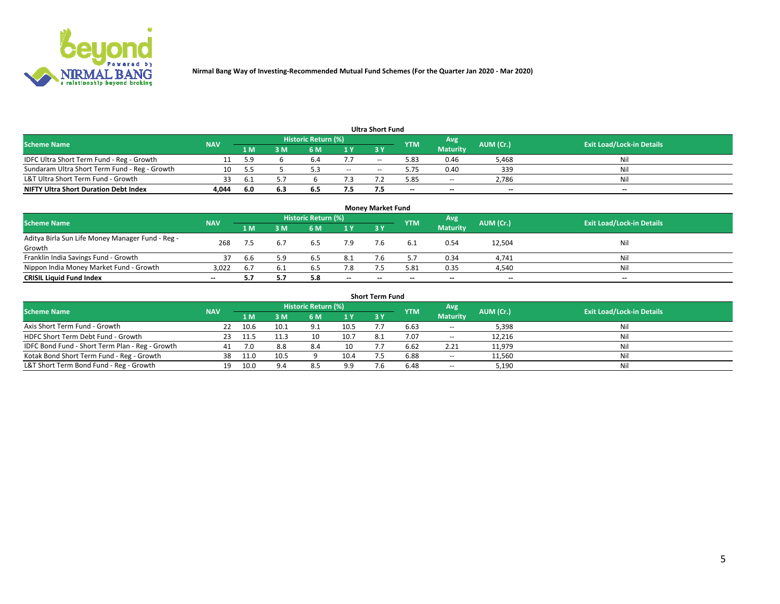

|                                               |            |      |     |                     |        | <b>Ultra Short Fund</b> |            |                 |           |                                  |
|-----------------------------------------------|------------|------|-----|---------------------|--------|-------------------------|------------|-----------------|-----------|----------------------------------|
| <b>Scheme Name</b>                            | <b>NAV</b> |      |     | Historic Return (%) |        |                         | <b>YTM</b> | Avg             | AUM (Cr.) | <b>Exit Load/Lock-in Details</b> |
|                                               |            | 1 M  | 3 M | 6 M                 | 1 Y    | <b>3 Y</b>              |            | <b>Maturity</b> |           |                                  |
| IDFC Ultra Short Term Fund - Reg - Growth     |            | 59   |     | b.                  |        | --                      | 5.83       | 0.46            | 5,468     | Nil                              |
| Sundaram Ultra Short Term Fund - Reg - Growth |            |      |     |                     | $\sim$ | $-$                     | 5.75       | 0.40            | 339       | Nil                              |
| L&T Ultra Short Term Fund - Growth            | 33         | -6.1 |     |                     |        |                         | 5.85       | $-$             | 2,786     | Nil                              |
| <b>NIFTY Ultra Short Duration Debt Index</b>  | 4,044      | -6.0 | 6.3 | 6.5                 | 7.5    |                         | --         | $-$             | $- -$     | $- -$                            |

| <b>Money Market Fund</b>                         |            |     |     |                     |        |    |            |                 |           |                                  |  |  |  |  |
|--------------------------------------------------|------------|-----|-----|---------------------|--------|----|------------|-----------------|-----------|----------------------------------|--|--|--|--|
| <b>Scheme Name</b>                               | <b>NAV</b> |     |     | Historic Return (%) |        |    | <b>YTM</b> | 'Avg            | AUM (Cr.) | <b>Exit Load/Lock-in Details</b> |  |  |  |  |
|                                                  |            | 1 M | 3 M | 6 M                 | 1 Y    | 3Y |            | <b>Maturity</b> |           |                                  |  |  |  |  |
| Aditya Birla Sun Life Money Manager Fund - Reg - | 268        |     |     | 6.5                 | 7.9    |    |            | 0.54            | 12,504    | Nil                              |  |  |  |  |
| Growth                                           |            |     |     |                     |        |    |            |                 |           |                                  |  |  |  |  |
| Franklin India Savings Fund - Growth             | 37         | 6.6 | 5.9 | 6.5                 | 8.1    |    |            | 0.34            | 4,741     | Nil                              |  |  |  |  |
| Nippon India Money Market Fund - Growth          | 3.022      | 6.7 | 6.1 | 6.5                 | 7.8    |    | 5.81       | 0.35            | 4,540     | Nil                              |  |  |  |  |
| <b>CRISIL Liquid Fund Index</b>                  | $- -$      |     |     | 5.8                 | $\sim$ | -- | --         | $\sim$          | $\sim$    | $\sim$                           |  |  |  |  |

| <b>Short Term Fund</b>                          |            |      |      |                     |      |           |            |                 |           |                                  |  |  |  |  |
|-------------------------------------------------|------------|------|------|---------------------|------|-----------|------------|-----------------|-----------|----------------------------------|--|--|--|--|
| <b>Scheme Name</b>                              | <b>NAV</b> |      |      | Historic Return (%) |      |           | <b>YTM</b> | Avg             | AUM (Cr.) | <b>Exit Load/Lock-in Details</b> |  |  |  |  |
|                                                 |            | 1 M  | 3 M  | <b>6M</b>           | 1Y   | <b>3Y</b> |            | <b>Maturity</b> |           |                                  |  |  |  |  |
| Axis Short Term Fund - Growth                   |            | 10.6 | 10.1 | 9.1                 | 10.5 |           | 6.63       | $-$             | 5,398     | Nil                              |  |  |  |  |
| HDFC Short Term Debt Fund - Growth              | 23         |      |      | 10                  | 10.7 | 8.1       | 7.07       | $\sim$          | 12,216    | Nil                              |  |  |  |  |
| IDFC Bond Fund - Short Term Plan - Reg - Growth |            |      | 8.8  | 8.4                 | 10   |           | 6.62       | 2.21            | 11,979    | Nil                              |  |  |  |  |
| Kotak Bond Short Term Fund - Reg - Growth       | 38         | 11.0 | 10.5 |                     | 10.4 |           | 6.88       | $\sim$          | 11,560    | Nil                              |  |  |  |  |
| L&T Short Term Bond Fund - Reg - Growth         | 19.        | 10.0 |      | 8.5                 | 9.9  |           | 6.48       | $- -$           | 5,190     | Nil                              |  |  |  |  |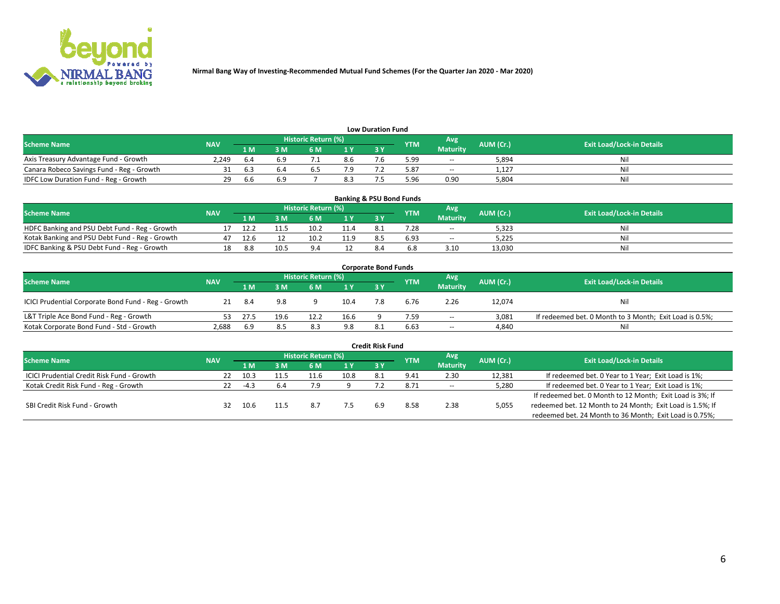

| <b>Low Duration Fund</b>                  |            |      |     |                     |                |     |            |                 |           |                                  |  |  |  |  |
|-------------------------------------------|------------|------|-----|---------------------|----------------|-----|------------|-----------------|-----------|----------------------------------|--|--|--|--|
| <b>Scheme Name</b>                        | <b>NAV</b> |      |     | Historic Return (%) |                |     | <b>YTM</b> | Avg             | AUM (Cr.) | <b>Exit Load/Lock-in Details</b> |  |  |  |  |
|                                           |            | 1 M  | sм  | 6 M                 | 1 <sub>V</sub> | 3 Y |            | <b>Maturity</b> |           |                                  |  |  |  |  |
| Axis Treasury Advantage Fund - Growth     | 2.249      | 6.4  | 6.9 |                     | 8.6            |     | 5.99       | $- -$           | 5,894     | Nil                              |  |  |  |  |
| Canara Robeco Savings Fund - Reg - Growth |            | b.3  | b.4 |                     |                |     | 5.87       | $- -$           | 1,127     | Nil                              |  |  |  |  |
| IDFC Low Duration Fund - Reg - Growth     | 29         | .b.b | 6.9 |                     | 8.3            |     | .96 ز      | 0.90            | 5.804     | Nil                              |  |  |  |  |

| <b>Banking &amp; PSU Bond Funds</b>            |            |      |      |                     |                |           |            |                 |           |                                  |  |  |  |
|------------------------------------------------|------------|------|------|---------------------|----------------|-----------|------------|-----------------|-----------|----------------------------------|--|--|--|
| <b>Scheme Name</b>                             | <b>NAV</b> |      |      | Historic Return (%) |                |           | <b>YTM</b> | Avg             | AUM (Cr.) | <b>Exit Load/Lock-in Details</b> |  |  |  |
|                                                |            | 1 M  | sм   | 6 M                 | 4 <sub>Y</sub> | <b>3Y</b> |            | <b>Maturity</b> |           |                                  |  |  |  |
| HDFC Banking and PSU Debt Fund - Reg - Growth  |            | 12.2 |      | 10.2                | 11.4           | 8.1       | 7.28       | $\sim$ $\sim$   | 5,323     | Ni                               |  |  |  |
| Kotak Banking and PSU Debt Fund - Reg - Growth |            | 12.6 |      | 10.2                | 11.9           |           | 6.93       | $\sim$ $\sim$   | 5.225     | Ni                               |  |  |  |
| IDFC Banking & PSU Debt Fund - Reg - Growth    | 18         | 8.8  | 10.5 |                     |                |           |            | 3.10            | 13.030    | Ni                               |  |  |  |

| <b>Corporate Bond Funds</b>                         |            |      |      |                     |      |            |            |                 |           |                                                         |  |  |  |  |
|-----------------------------------------------------|------------|------|------|---------------------|------|------------|------------|-----------------|-----------|---------------------------------------------------------|--|--|--|--|
| <b>Scheme Name</b>                                  | <b>NAV</b> |      |      | Historic Return (%) |      |            | <b>YTM</b> | Avg             | AUM (Cr.) | <b>Exit Load/Lock-in Details</b>                        |  |  |  |  |
|                                                     |            | 1 M  | 3 M  | 6 M                 | 1 Y  | <b>3 Y</b> |            | <b>Maturity</b> |           |                                                         |  |  |  |  |
| ICICI Prudential Corporate Bond Fund - Reg - Growth |            | -8.4 | 9.8  |                     | 10.4 |            | 6.76       | 2.26            | 12,074    | Nil                                                     |  |  |  |  |
| L&T Triple Ace Bond Fund - Reg - Growth             |            | 27.5 | 19.6 | 12.2                | 16.6 |            | 7.59       | $\sim$          | 3,081     | If redeemed bet. 0 Month to 3 Month; Exit Load is 0.5%; |  |  |  |  |
| Kotak Corporate Bond Fund - Std - Growth            | 2,688      | 6.9  | 8.5  | 8.3                 | 9.8  |            | 6.63       | $\sim$ $\sim$   | 4,840     | Nil                                                     |  |  |  |  |

|                                                   |            |        |     |                            |      | <b>Credit Risk Fund</b> |            |                 |           |                                                           |
|---------------------------------------------------|------------|--------|-----|----------------------------|------|-------------------------|------------|-----------------|-----------|-----------------------------------------------------------|
| <b>Scheme Name</b>                                | <b>NAV</b> |        |     | <b>Historic Return (%)</b> |      |                         | <b>YTM</b> | Avg             | AUM (Cr.) | <b>Exit Load/Lock-in Details</b>                          |
|                                                   |            | 1 M    | 3 M | 6 M                        | 71 Y | 3Y                      |            | <b>Maturity</b> |           |                                                           |
| <b>ICICI Prudential Credit Risk Fund - Growth</b> | 22         | 10.3   |     | 11.6                       | 10.8 | 8.1                     | 9.41       | 2.30            | 12,381    | If redeemed bet. 0 Year to 1 Year; Exit Load is 1%;       |
| Kotak Credit Risk Fund - Reg - Growth             |            | $-4.3$ | 6.4 |                            |      |                         | 8.71       | $- -$           | 5,280     | If redeemed bet. 0 Year to 1 Year; Exit Load is 1%;       |
|                                                   |            |        |     |                            |      |                         |            |                 |           | If redeemed bet. 0 Month to 12 Month; Exit Load is 3%; If |
| SBI Credit Risk Fund - Growth                     | 32         | 10.6   |     | 8.7                        |      |                         | 8.58       | 2.38            | 5,055     | redeemed bet. 12 Month to 24 Month; Exit Load is 1.5%; If |
|                                                   |            |        |     |                            |      |                         |            |                 |           | redeemed bet. 24 Month to 36 Month; Exit Load is 0.75%;   |